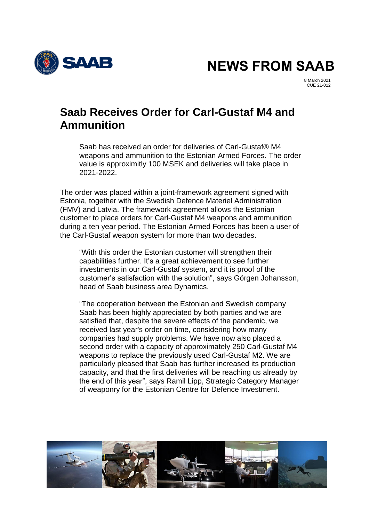SAAB

**NEWS FROM SAAB**

8 March 2021 CUE 21-012

## **Saab Receives Order for Carl-Gustaf M4 and Ammunition**

Saab has received an order for deliveries of Carl-Gustaf® M4 weapons and ammunition to the Estonian Armed Forces. The order value is approximitly 100 MSEK and deliveries will take place in 2021-2022.

The order was placed within a joint-framework agreement signed with Estonia, together with the Swedish Defence Materiel Administration (FMV) and Latvia. The framework agreement allows the Estonian customer to place orders for Carl-Gustaf M4 weapons and ammunition during a ten year period. The Estonian Armed Forces has been a user of the Carl-Gustaf weapon system for more than two decades.

"With this order the Estonian customer will strengthen their capabilities further. It's a great achievement to see further investments in our Carl-Gustaf system, and it is proof of the customer's satisfaction with the solution", says Görgen Johansson, head of Saab business area Dynamics.

"The cooperation between the Estonian and Swedish company Saab has been highly appreciated by both parties and we are satisfied that, despite the severe effects of the pandemic, we received last year's order on time, considering how many companies had supply problems. We have now also placed a second order with a capacity of approximately 250 Carl-Gustaf M4 weapons to replace the previously used Carl-Gustaf M2. We are particularly pleased that Saab has further increased its production capacity, and that the first deliveries will be reaching us already by the end of this year", says Ramil Lipp, Strategic Category Manager of weaponry for the Estonian Centre for Defence Investment.